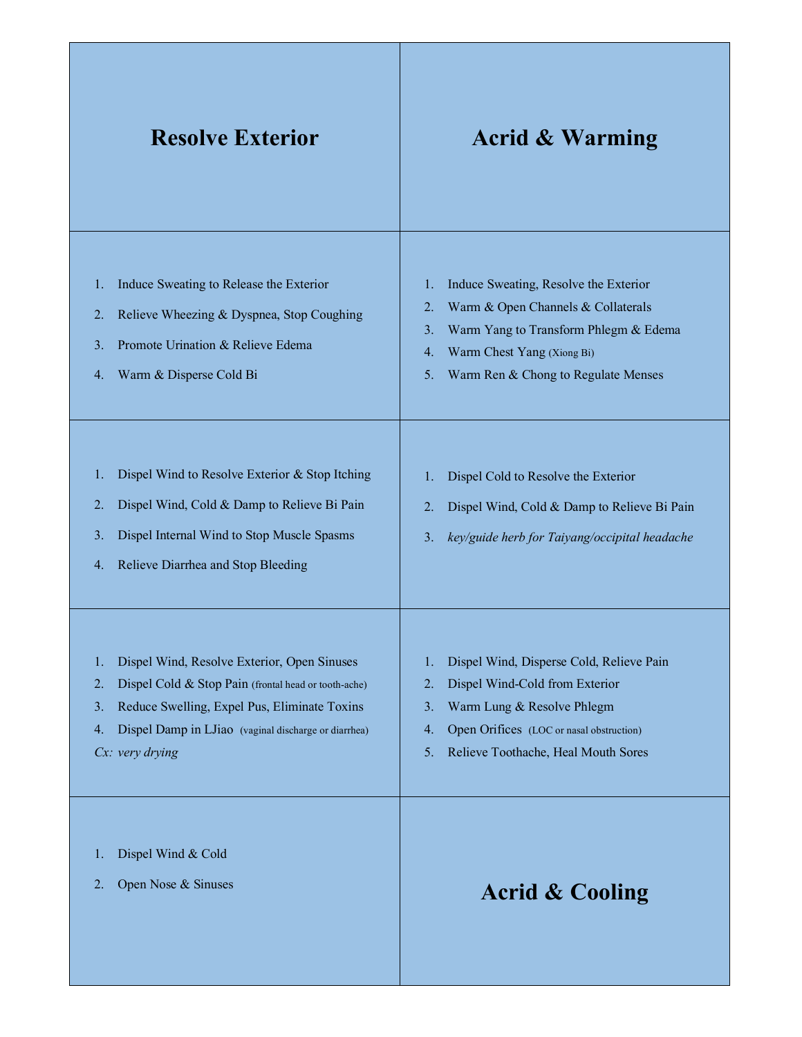## **Resolve Exterior Acrid & Warming**

| Induce Sweating to Release the Exterior<br>1.<br>Relieve Wheezing & Dyspnea, Stop Coughing<br>2.<br>Promote Urination & Relieve Edema<br>3.<br>Warm & Disperse Cold Bi<br>4.                                                                              | Induce Sweating, Resolve the Exterior<br>1.<br>2.<br>Warm & Open Channels & Collaterals<br>Warm Yang to Transform Phlegm & Edema<br>3.<br>Warm Chest Yang (Xiong Bi)<br>4.<br>5.<br>Warm Ren & Chong to Regulate Menses   |
|-----------------------------------------------------------------------------------------------------------------------------------------------------------------------------------------------------------------------------------------------------------|---------------------------------------------------------------------------------------------------------------------------------------------------------------------------------------------------------------------------|
| Dispel Wind to Resolve Exterior & Stop Itching<br>1.<br>Dispel Wind, Cold & Damp to Relieve Bi Pain<br>2.<br>Dispel Internal Wind to Stop Muscle Spasms<br>3.<br>Relieve Diarrhea and Stop Bleeding<br>4.                                                 | Dispel Cold to Resolve the Exterior<br>$\mathbf{1}$ .<br>2.<br>Dispel Wind, Cold & Damp to Relieve Bi Pain<br>3.<br>key/guide herb for Taiyang/occipital headache                                                         |
| Dispel Wind, Resolve Exterior, Open Sinuses<br>1.<br>Dispel Cold & Stop Pain (frontal head or tooth-ache)<br>2.<br>Reduce Swelling, Expel Pus, Eliminate Toxins<br>3.<br>Dispel Damp in LJiao (vaginal discharge or diarrhea)<br>4.<br>$Cx$ : very drying | Dispel Wind, Disperse Cold, Relieve Pain<br>1.<br>2.<br>Dispel Wind-Cold from Exterior<br>3.<br>Warm Lung & Resolve Phlegm<br>Open Orifices (LOC or nasal obstruction)<br>4.<br>Relieve Toothache, Heal Mouth Sores<br>5. |
| Dispel Wind & Cold<br>1.<br>Open Nose & Sinuses<br>2.                                                                                                                                                                                                     | <b>Acrid &amp; Cooling</b>                                                                                                                                                                                                |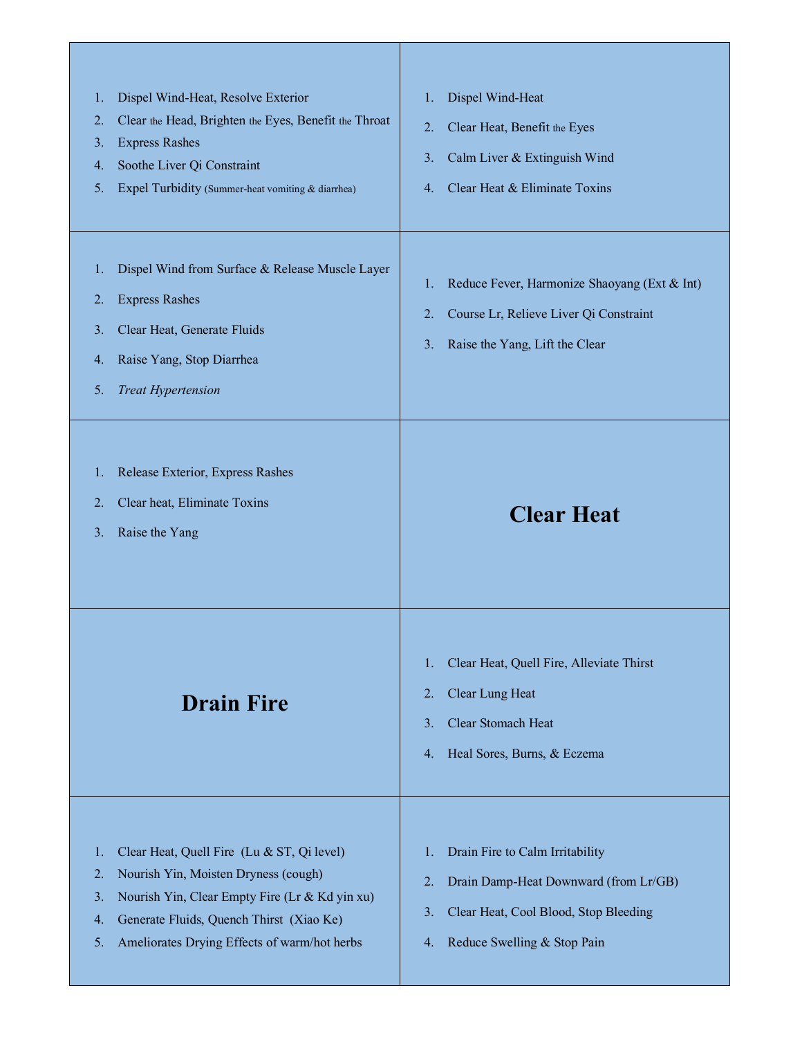| Dispel Wind-Heat, Resolve Exterior<br>1.<br>Clear the Head, Brighten the Eyes, Benefit the Throat<br>2.<br><b>Express Rashes</b><br>3 <sub>1</sub><br>Soothe Liver Qi Constraint<br>4.<br>Expel Turbidity (Summer-heat vomiting & diarrhea)<br>5.              | Dispel Wind-Heat<br>1.<br>2.<br>Clear Heat, Benefit the Eyes<br>3.<br>Calm Liver & Extinguish Wind<br>Clear Heat & Eliminate Toxins<br>4.                                |
|----------------------------------------------------------------------------------------------------------------------------------------------------------------------------------------------------------------------------------------------------------------|--------------------------------------------------------------------------------------------------------------------------------------------------------------------------|
| Dispel Wind from Surface & Release Muscle Layer<br>1.<br><b>Express Rashes</b><br>2.<br>Clear Heat, Generate Fluids<br>3 <sub>1</sub><br>Raise Yang, Stop Diarrhea<br>4.<br><b>Treat Hypertension</b><br>5.                                                    | Reduce Fever, Harmonize Shaoyang (Ext & Int)<br>1.<br>Course Lr, Relieve Liver Qi Constraint<br>2.<br>3.<br>Raise the Yang, Lift the Clear                               |
| Release Exterior, Express Rashes<br>Ι.<br>Clear heat, Eliminate Toxins<br>2.<br>Raise the Yang<br>3.                                                                                                                                                           | <b>Clear Heat</b>                                                                                                                                                        |
| <b>Drain Fire</b>                                                                                                                                                                                                                                              | Clear Heat, Quell Fire, Alleviate Thirst<br>1.<br>Clear Lung Heat<br>2.<br>Clear Stomach Heat<br>3.<br>Heal Sores, Burns, & Eczema<br>4.                                 |
| Clear Heat, Quell Fire (Lu & ST, Qi level)<br>Ι.<br>Nourish Yin, Moisten Dryness (cough)<br>2.<br>Nourish Yin, Clear Empty Fire (Lr & Kd yin xu)<br>3.<br>Generate Fluids, Quench Thirst (Xiao Ke)<br>4.<br>Ameliorates Drying Effects of warm/hot herbs<br>5. | Drain Fire to Calm Irritability<br>1.<br>Drain Damp-Heat Downward (from Lr/GB)<br>2.<br>Clear Heat, Cool Blood, Stop Bleeding<br>3.<br>Reduce Swelling & Stop Pain<br>4. |

T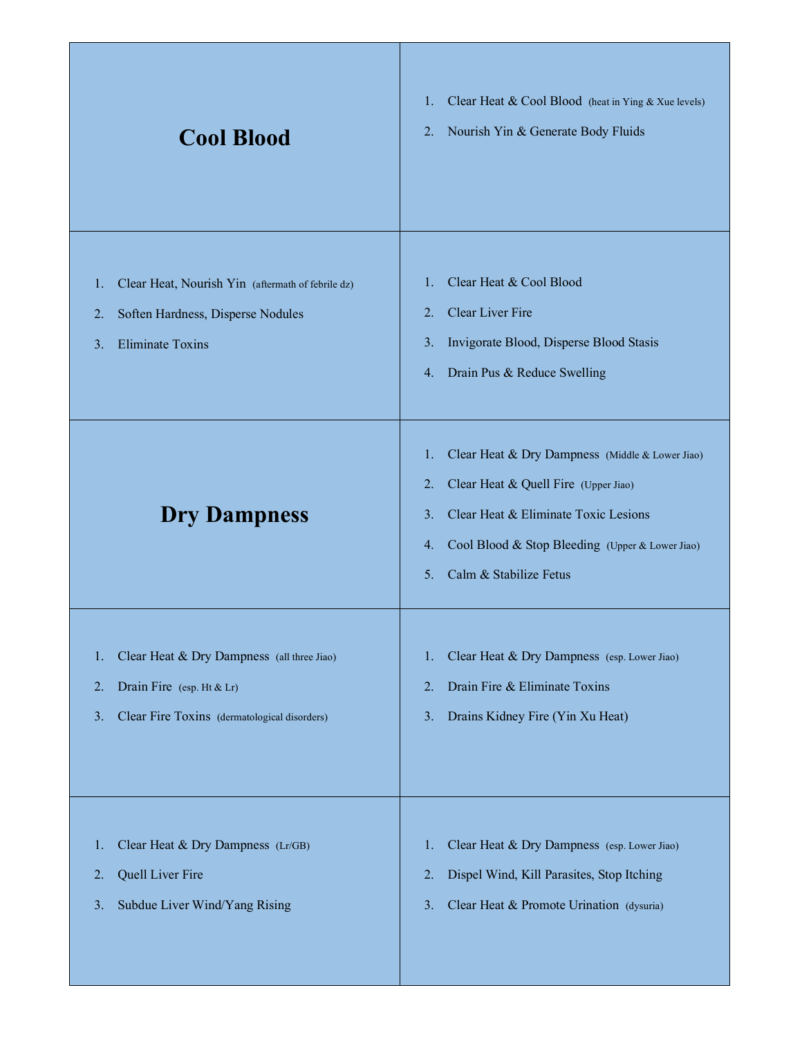| <b>Cool Blood</b>                                                                                                                         | 1.<br>Clear Heat & Cool Blood (heat in Ying & Xue levels)<br>Nourish Yin & Generate Body Fluids<br>2.                                                                                                                                                  |
|-------------------------------------------------------------------------------------------------------------------------------------------|--------------------------------------------------------------------------------------------------------------------------------------------------------------------------------------------------------------------------------------------------------|
| Clear Heat, Nourish Yin (aftermath of febrile dz)<br>1.<br>2.<br>Soften Hardness, Disperse Nodules<br><b>Eliminate Toxins</b><br>3.       | Clear Heat & Cool Blood<br>1.<br>Clear Liver Fire<br>2.<br>Invigorate Blood, Disperse Blood Stasis<br>3.<br>Drain Pus & Reduce Swelling<br>4.                                                                                                          |
| <b>Dry Dampness</b>                                                                                                                       | Clear Heat & Dry Dampness (Middle & Lower Jiao)<br>1.<br>2.<br>Clear Heat & Quell Fire (Upper Jiao)<br>Clear Heat & Eliminate Toxic Lesions<br>3.<br>Cool Blood & Stop Bleeding (Upper & Lower Jiao)<br>4.<br>Calm & Stabilize Fetus<br>5 <sub>1</sub> |
| Clear Heat & Dry Dampness (all three Jiao)<br>1.<br>Drain Fire (esp. Ht & Lr)<br>2.<br>3.<br>Clear Fire Toxins (dermatological disorders) | Clear Heat & Dry Dampness (esp. Lower Jiao)<br>1.<br>Drain Fire & Eliminate Toxins<br>2.<br>Drains Kidney Fire (Yin Xu Heat)<br>3.                                                                                                                     |
| Clear Heat & Dry Dampness (Lr/GB)<br>1.<br>Quell Liver Fire<br>2.<br>Subdue Liver Wind/Yang Rising<br>3.                                  | Clear Heat & Dry Dampness (esp. Lower Jiao)<br>1.<br>Dispel Wind, Kill Parasites, Stop Itching<br>2.<br>Clear Heat & Promote Urination (dysuria)<br>3.                                                                                                 |

I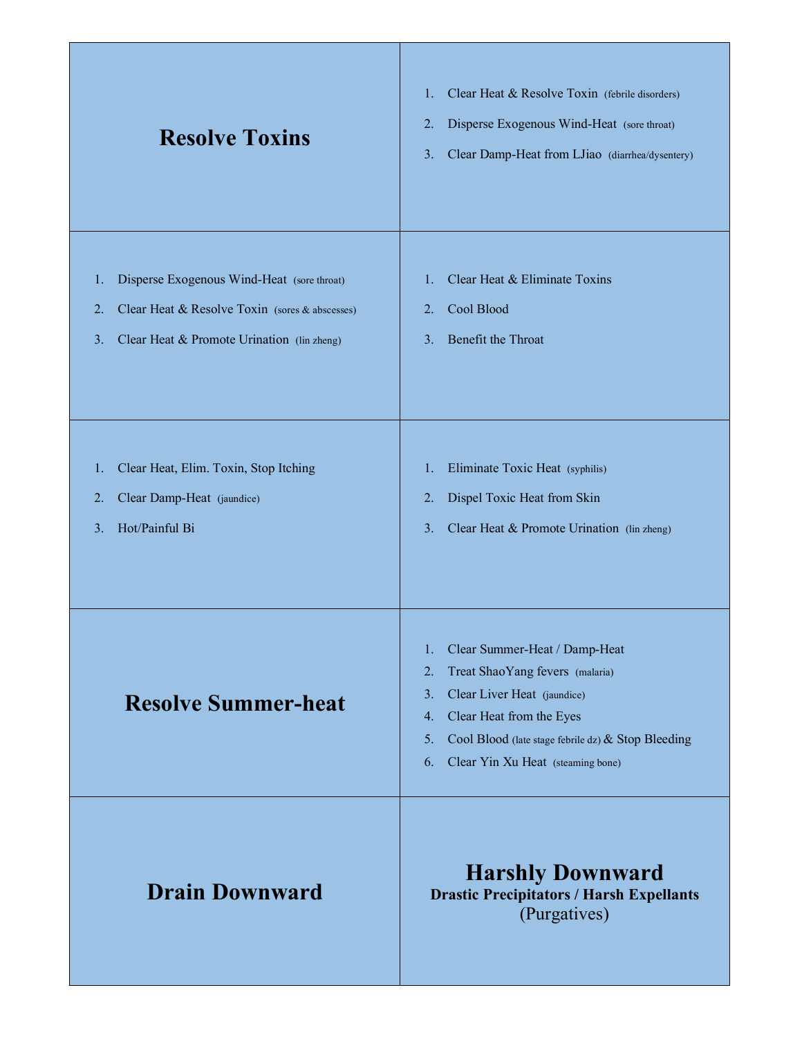| <b>Resolve Toxins</b>                                                                                                                                        | Clear Heat & Resolve Toxin (febrile disorders)<br>1.<br>2.<br>Disperse Exogenous Wind-Heat (sore throat)<br>3.<br>Clear Damp-Heat from LJiao (diarrhea/dysentery)                                                                                          |
|--------------------------------------------------------------------------------------------------------------------------------------------------------------|------------------------------------------------------------------------------------------------------------------------------------------------------------------------------------------------------------------------------------------------------------|
| Disperse Exogenous Wind-Heat (sore throat)<br>1.<br>Clear Heat & Resolve Toxin (sores & abscesses)<br>2.<br>Clear Heat & Promote Urination (lin zheng)<br>3. | Clear Heat & Eliminate Toxins<br>1.<br>Cool Blood<br>2.<br><b>Benefit the Throat</b><br>3.                                                                                                                                                                 |
| Clear Heat, Elim. Toxin, Stop Itching<br>1.<br>Clear Damp-Heat (jaundice)<br>2.<br>Hot/Painful Bi<br>3.                                                      | Eliminate Toxic Heat (syphilis)<br>1.<br>Dispel Toxic Heat from Skin<br>2.<br>Clear Heat & Promote Urination (lin zheng)<br>3.                                                                                                                             |
| <b>Resolve Summer-heat</b>                                                                                                                                   | Clear Summer-Heat / Damp-Heat<br>1.<br>Treat ShaoYang fevers (malaria)<br>2.<br>Clear Liver Heat (jaundice)<br>3.<br>Clear Heat from the Eyes<br>4.<br>Cool Blood (late stage febrile dz) & Stop Bleeding<br>5.<br>Clear Yin Xu Heat (steaming bone)<br>6. |
| <b>Drain Downward</b>                                                                                                                                        | <b>Harshly Downward</b><br><b>Drastic Precipitators / Harsh Expellants</b><br>(Purgatives)                                                                                                                                                                 |

Т

Г

L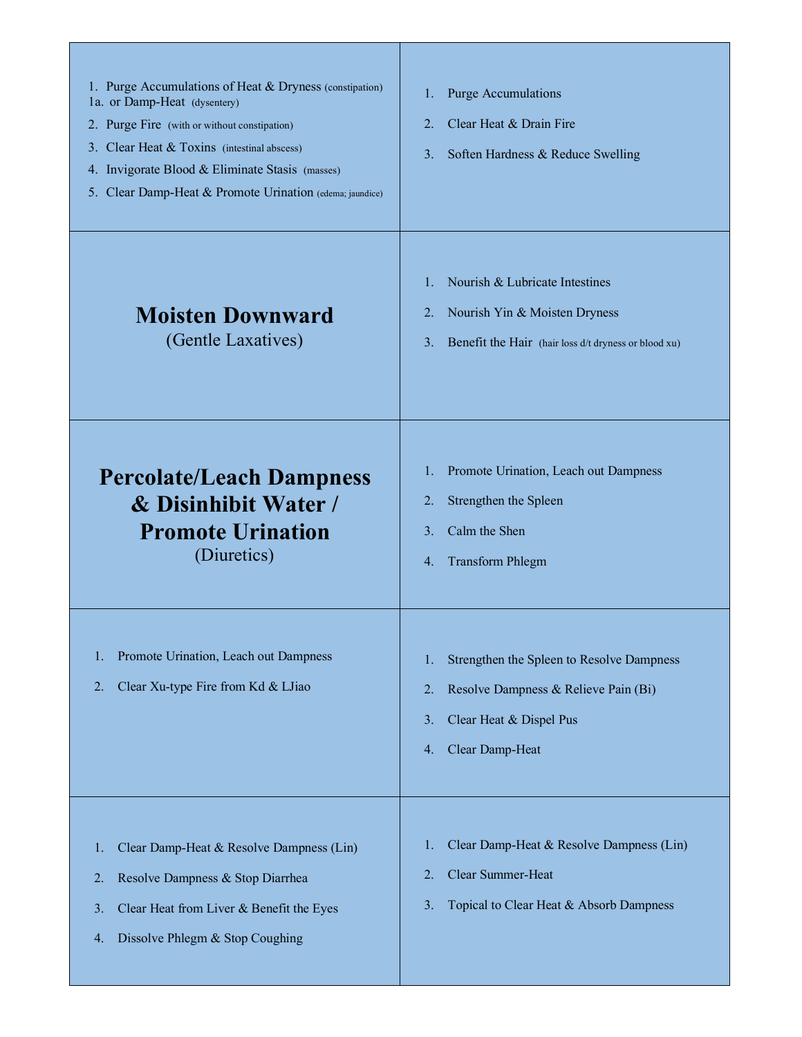| 1. Purge Accumulations of Heat & Dryness (constipation)<br>1a. or Damp-Heat (dysentery)<br>2. Purge Fire (with or without constipation)<br>3. Clear Heat & Toxins (intestinal abscess)<br>4. Invigorate Blood & Eliminate Stasis (masses)<br>5. Clear Damp-Heat & Promote Urination (edema; jaundice) | <b>Purge Accumulations</b><br>1.<br>Clear Heat & Drain Fire<br>2.<br>3.<br>Soften Hardness & Reduce Swelling                                               |
|-------------------------------------------------------------------------------------------------------------------------------------------------------------------------------------------------------------------------------------------------------------------------------------------------------|------------------------------------------------------------------------------------------------------------------------------------------------------------|
| <b>Moisten Downward</b><br>(Gentle Laxatives)                                                                                                                                                                                                                                                         | Nourish & Lubricate Intestines<br>$\mathbf{1}$ .<br>2.<br>Nourish Yin & Moisten Dryness<br>$3_{-}$<br>Benefit the Hair (hair loss d/t dryness or blood xu) |
| <b>Percolate/Leach Dampness</b><br>& Disinhibit Water /<br><b>Promote Urination</b><br>(Diuretics)                                                                                                                                                                                                    | Promote Urination, Leach out Dampness<br>1.<br>2.<br>Strengthen the Spleen<br>Calm the Shen<br>3 <sub>1</sub><br><b>Transform Phlegm</b><br>4.             |
| Promote Urination, Leach out Dampness<br>Ι.<br>Clear Xu-type Fire from Kd & LJiao<br>2.                                                                                                                                                                                                               | Strengthen the Spleen to Resolve Dampness<br>1.<br>Resolve Dampness & Relieve Pain (Bi)<br>2.<br>Clear Heat & Dispel Pus<br>3.<br>Clear Damp-Heat<br>4.    |
| Clear Damp-Heat & Resolve Dampness (Lin)<br>1.<br>Resolve Dampness & Stop Diarrhea<br>2.<br>Clear Heat from Liver & Benefit the Eyes<br>3.<br>Dissolve Phlegm & Stop Coughing<br>4.                                                                                                                   | Clear Damp-Heat & Resolve Dampness (Lin)<br>1.<br>Clear Summer-Heat<br>2.<br>Topical to Clear Heat & Absorb Dampness<br>3.                                 |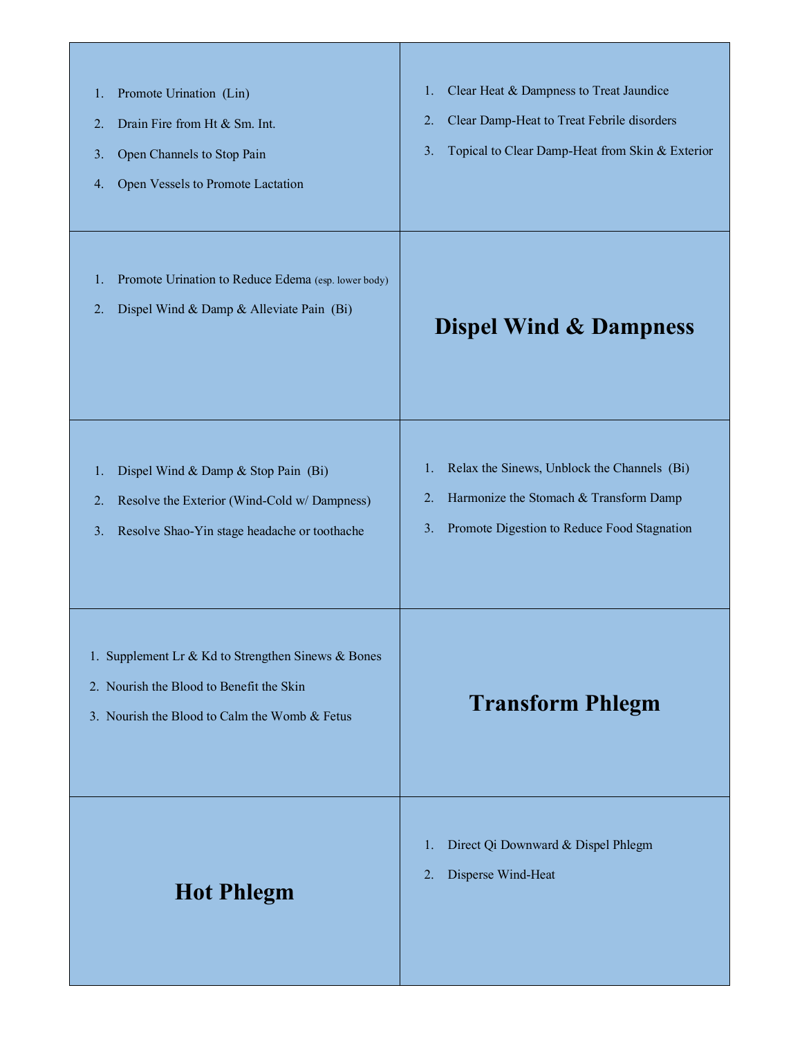| Promote Urination (Lin)<br>1.<br>Drain Fire from Ht & Sm. Int.<br>2.<br>Open Channels to Stop Pain<br>3.<br>Open Vessels to Promote Lactation<br>4.   | Clear Heat & Dampness to Treat Jaundice<br>1.<br>2.<br>Clear Damp-Heat to Treat Febrile disorders<br>Topical to Clear Damp-Heat from Skin & Exterior<br>3.         |
|-------------------------------------------------------------------------------------------------------------------------------------------------------|--------------------------------------------------------------------------------------------------------------------------------------------------------------------|
| Promote Urination to Reduce Edema (esp. lower body)<br>1.<br>Dispel Wind & Damp & Alleviate Pain (Bi)<br>2.                                           | <b>Dispel Wind &amp; Dampness</b>                                                                                                                                  |
| Dispel Wind & Damp & Stop Pain (Bi)<br>1.<br>Resolve the Exterior (Wind-Cold w/ Dampness)<br>2.<br>Resolve Shao-Yin stage headache or toothache<br>3. | Relax the Sinews, Unblock the Channels (Bi)<br>1.<br>2.<br>Harmonize the Stomach & Transform Damp<br>Promote Digestion to Reduce Food Stagnation<br>3 <sub>1</sub> |
| 1. Supplement Lr & Kd to Strengthen Sinews & Bones<br>2. Nourish the Blood to Benefit the Skin<br>3. Nourish the Blood to Calm the Womb & Fetus       | <b>Transform Phlegm</b>                                                                                                                                            |
| <b>Hot Phlegm</b>                                                                                                                                     | Direct Qi Downward & Dispel Phlegm<br>1.<br>Disperse Wind-Heat<br>2.                                                                                               |

Т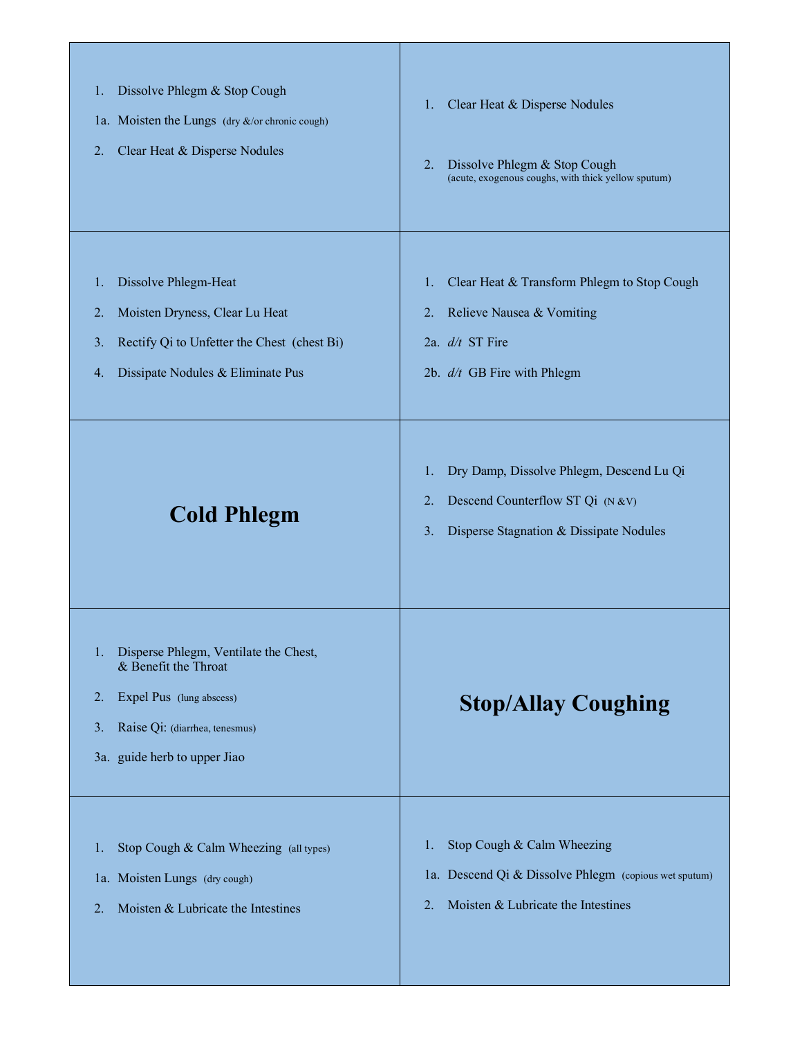| Dissolve Phlegm & Stop Cough<br>1.<br>1a. Moisten the Lungs (dry $\&$ /or chronic cough)<br>Clear Heat & Disperse Nodules<br>2.                                               | Clear Heat & Disperse Nodules<br>1.<br>Dissolve Phlegm & Stop Cough<br>2.<br>(acute, exogenous coughs, with thick yellow sputum)                      |
|-------------------------------------------------------------------------------------------------------------------------------------------------------------------------------|-------------------------------------------------------------------------------------------------------------------------------------------------------|
| Dissolve Phlegm-Heat<br>1.<br>Moisten Dryness, Clear Lu Heat<br>2.<br>Rectify Qi to Unfetter the Chest (chest Bi)<br>3.<br>Dissipate Nodules & Eliminate Pus<br>4.            | Clear Heat & Transform Phlegm to Stop Cough<br>1.<br>Relieve Nausea & Vomiting<br>2.<br>2a. $d/t$ ST Fire<br>2b. $d/t$ GB Fire with Phlegm            |
| <b>Cold Phlegm</b>                                                                                                                                                            | Dry Damp, Dissolve Phlegm, Descend Lu Qi<br>1.<br>2.<br>Descend Counterflow ST Qi (N &V)<br>Disperse Stagnation & Dissipate Nodules<br>3 <sub>1</sub> |
| Disperse Phlegm, Ventilate the Chest,<br>1.<br>& Benefit the Throat<br>Expel Pus (lung abscess)<br>2.<br>Raise Qi: (diarrhea, tenesmus)<br>3.<br>3a. guide herb to upper Jiao | <b>Stop/Allay Coughing</b>                                                                                                                            |
| Stop Cough & Calm Wheezing (all types)<br>1.<br>1a. Moisten Lungs (dry cough)<br>Moisten & Lubricate the Intestines<br>2.                                                     | Stop Cough & Calm Wheezing<br>1.<br>1a. Descend Qi & Dissolve Phlegm (copious wet sputum)<br>Moisten & Lubricate the Intestines<br>2.                 |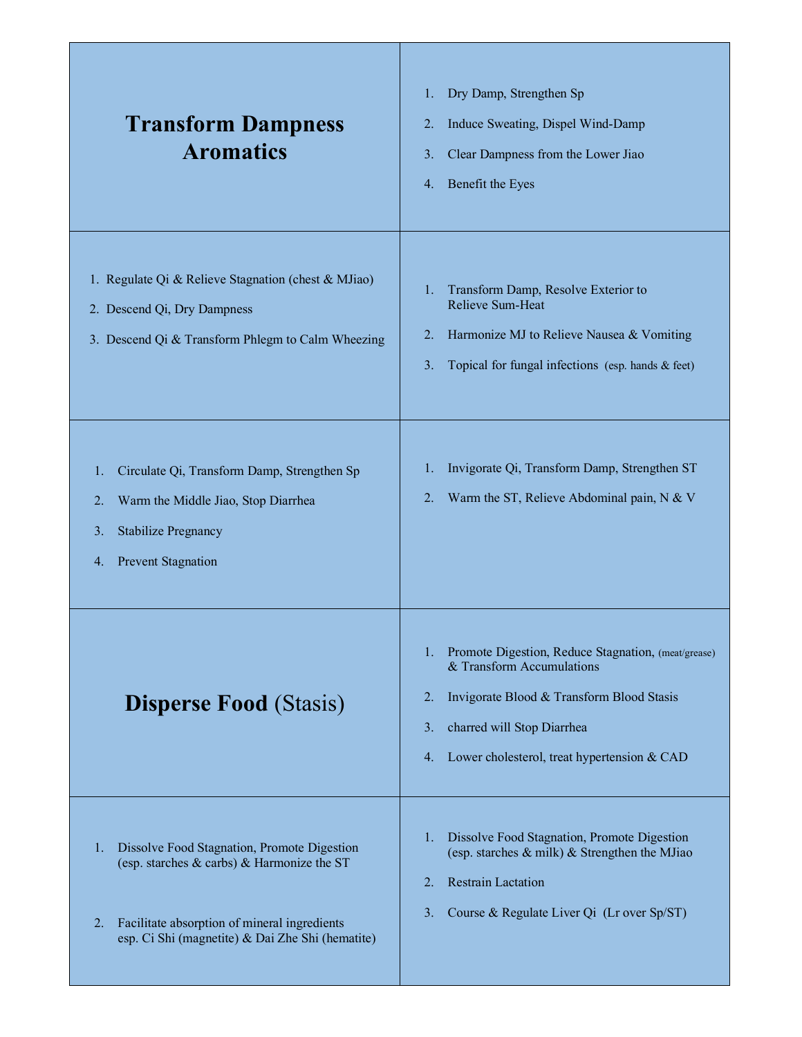| <b>Transform Dampness</b><br><b>Aromatics</b>                                                                                                                                                             | Dry Damp, Strengthen Sp<br>1.<br>Induce Sweating, Dispel Wind-Damp<br>2.<br>3.<br>Clear Dampness from the Lower Jiao<br>Benefit the Eyes<br>4.                                                                                              |
|-----------------------------------------------------------------------------------------------------------------------------------------------------------------------------------------------------------|---------------------------------------------------------------------------------------------------------------------------------------------------------------------------------------------------------------------------------------------|
| 1. Regulate Qi & Relieve Stagnation (chest & MJiao)<br>2. Descend Qi, Dry Dampness<br>3. Descend Qi & Transform Phlegm to Calm Wheezing                                                                   | Transform Damp, Resolve Exterior to<br>1.<br>Relieve Sum-Heat<br>2.<br>Harmonize MJ to Relieve Nausea & Vomiting<br>3.<br>Topical for fungal infections (esp. hands $&$ feet)                                                               |
| Circulate Qi, Transform Damp, Strengthen Sp<br>1.<br>Warm the Middle Jiao, Stop Diarrhea<br>2.<br><b>Stabilize Pregnancy</b><br>3.<br><b>Prevent Stagnation</b><br>4.                                     | Invigorate Qi, Transform Damp, Strengthen ST<br>1.<br>Warm the ST, Relieve Abdominal pain, N & V<br>2.                                                                                                                                      |
| <b>Disperse Food (Stasis)</b>                                                                                                                                                                             | Promote Digestion, Reduce Stagnation, (meat/grease)<br>$1_{\odot}$<br>& Transform Accumulations<br>Invigorate Blood & Transform Blood Stasis<br>2.<br>3.<br>charred will Stop Diarrhea<br>Lower cholesterol, treat hypertension & CAD<br>4. |
| Dissolve Food Stagnation, Promote Digestion<br>1.<br>(esp. starches & carbs) & Harmonize the ST<br>Facilitate absorption of mineral ingredients<br>2.<br>esp. Ci Shi (magnetite) & Dai Zhe Shi (hematite) | Dissolve Food Stagnation, Promote Digestion<br>1.<br>(esp. starches & milk) & Strengthen the MJiao<br><b>Restrain Lactation</b><br>2.<br>Course & Regulate Liver Qi (Lr over Sp/ST)<br>3.                                                   |

T

Г

L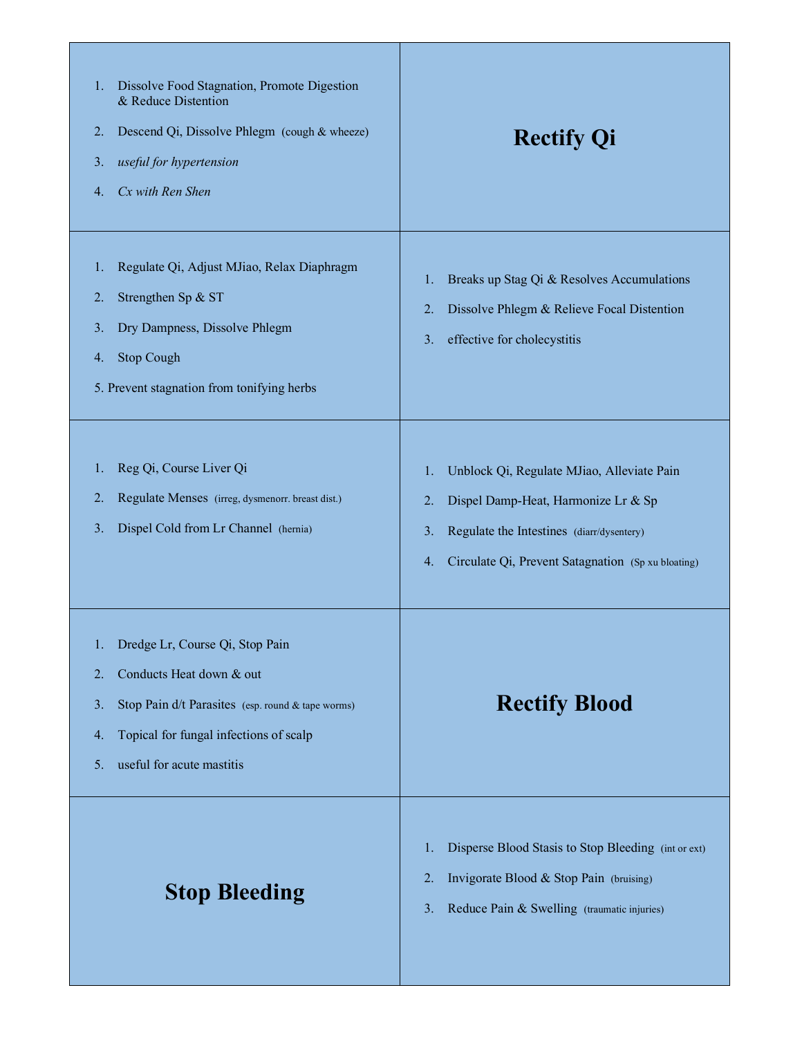| Dissolve Food Stagnation, Promote Digestion<br>1.<br>& Reduce Distention<br>Descend Qi, Dissolve Phlegm (cough & wheeze)<br>2.<br>useful for hypertension<br>3.<br>Cx with Ren Shen<br>4.                                         | <b>Rectify Qi</b>                                                                                                                                                                                            |
|-----------------------------------------------------------------------------------------------------------------------------------------------------------------------------------------------------------------------------------|--------------------------------------------------------------------------------------------------------------------------------------------------------------------------------------------------------------|
| Regulate Qi, Adjust MJiao, Relax Diaphragm<br>1.<br>Strengthen Sp & ST<br>2.<br>Dry Dampness, Dissolve Phlegm<br>3.<br><b>Stop Cough</b><br>4.<br>5. Prevent stagnation from tonifying herbs                                      | Breaks up Stag Qi & Resolves Accumulations<br>1.<br>Dissolve Phlegm & Relieve Focal Distention<br>2.<br>effective for cholecystitis<br>3.                                                                    |
| Reg Qi, Course Liver Qi<br>1.<br>Regulate Menses (irreg, dysmenorr. breast dist.)<br>2.<br>3.<br>Dispel Cold from Lr Channel (hernia)                                                                                             | 1.<br>Unblock Qi, Regulate MJiao, Alleviate Pain<br>2.<br>Dispel Damp-Heat, Harmonize Lr & Sp<br>3.<br>Regulate the Intestines (diarr/dysentery)<br>Circulate Qi, Prevent Satagnation (Sp xu bloating)<br>4. |
| Dredge Lr, Course Qi, Stop Pain<br>1.<br>Conducts Heat down & out<br>2.<br>Stop Pain d/t Parasites (esp. round & tape worms)<br>3.<br>Topical for fungal infections of scalp<br>4.<br>useful for acute mastitis<br>5 <sub>1</sub> | <b>Rectify Blood</b>                                                                                                                                                                                         |
| <b>Stop Bleeding</b>                                                                                                                                                                                                              | Disperse Blood Stasis to Stop Bleeding (int or ext)<br>1.<br>Invigorate Blood & Stop Pain (bruising)<br>2.<br>Reduce Pain & Swelling (traumatic injuries)<br>3.                                              |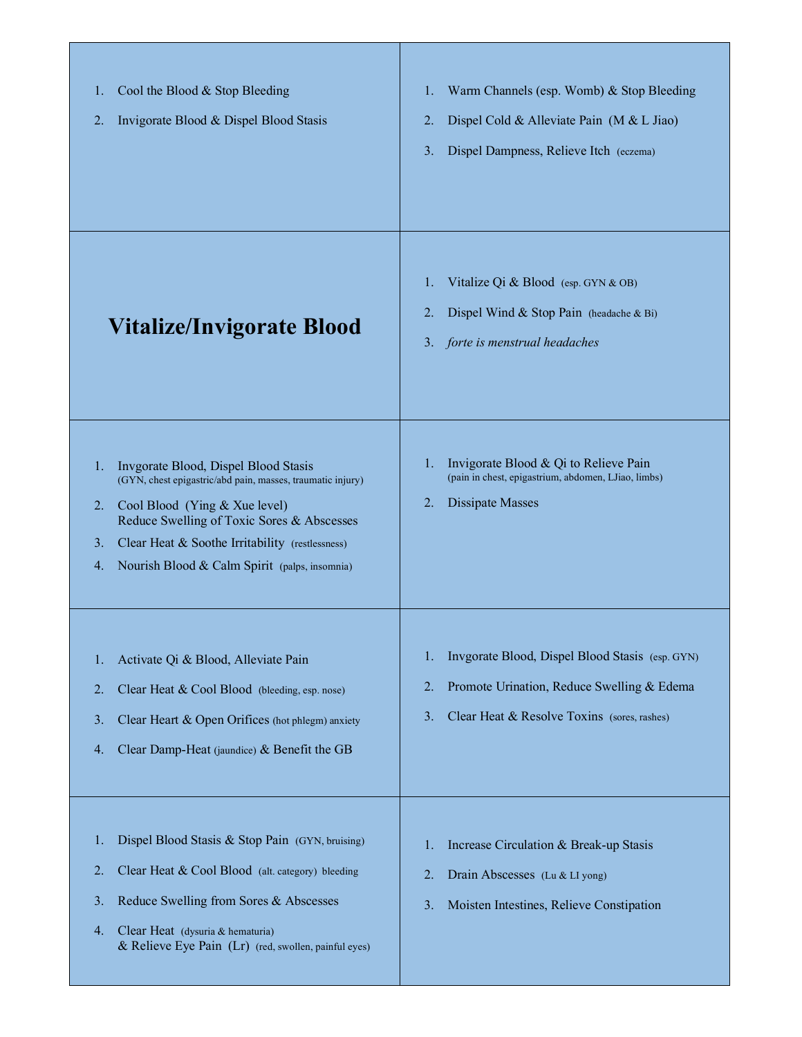| Cool the Blood & Stop Bleeding<br>1.<br>Invigorate Blood & Dispel Blood Stasis<br>2.                                                                                                                                                                                                                                   | Warm Channels (esp. Womb) & Stop Bleeding<br>1.<br>Dispel Cold & Alleviate Pain (M & L Jiao)<br>2.<br>3.<br>Dispel Dampness, Relieve Itch (eczema)             |
|------------------------------------------------------------------------------------------------------------------------------------------------------------------------------------------------------------------------------------------------------------------------------------------------------------------------|----------------------------------------------------------------------------------------------------------------------------------------------------------------|
| <b>Vitalize/Invigorate Blood</b>                                                                                                                                                                                                                                                                                       | Vitalize Qi & Blood (esp. GYN & OB)<br>1.<br>2.<br>Dispel Wind & Stop Pain (headache & Bi)<br>forte is menstrual headaches<br>3.                               |
| Invgorate Blood, Dispel Blood Stasis<br>$1_{\cdot}$<br>(GYN, chest epigastric/abd pain, masses, traumatic injury)<br>2.<br>Cool Blood (Ying & Xue level)<br>Reduce Swelling of Toxic Sores & Abscesses<br>Clear Heat & Soothe Irritability (restlessness)<br>3.<br>Nourish Blood & Calm Spirit (palps, insomnia)<br>4. | $\mathbf{1}$ .<br>Invigorate Blood & Qi to Relieve Pain<br>(pain in chest, epigastrium, abdomen, LJiao, limbs)<br><b>Dissipate Masses</b><br>$\overline{2}$ .  |
| Activate Qi & Blood, Alleviate Pain<br>1.<br>Clear Heat & Cool Blood (bleeding, esp. nose)<br>2.<br>Clear Heart & Open Orifices (hot phlegm) anxiety<br>3.<br>Clear Damp-Heat (jaundice) & Benefit the GB<br>4.                                                                                                        | Invgorate Blood, Dispel Blood Stasis (esp. GYN)<br>1.<br>2.<br>Promote Urination, Reduce Swelling & Edema<br>Clear Heat & Resolve Toxins (sores, rashes)<br>3. |
| Dispel Blood Stasis & Stop Pain (GYN, bruising)<br>1.<br>Clear Heat & Cool Blood (alt. category) bleeding<br>2.<br>Reduce Swelling from Sores & Abscesses<br>3 <sub>1</sub><br>Clear Heat (dysuria & hematuria)<br>4.<br>& Relieve Eye Pain (Lr) (red, swollen, painful eyes)                                          | Increase Circulation & Break-up Stasis<br>1.<br>Drain Abscesses (Lu & LI yong)<br>2.<br>Moisten Intestines, Relieve Constipation<br>3.                         |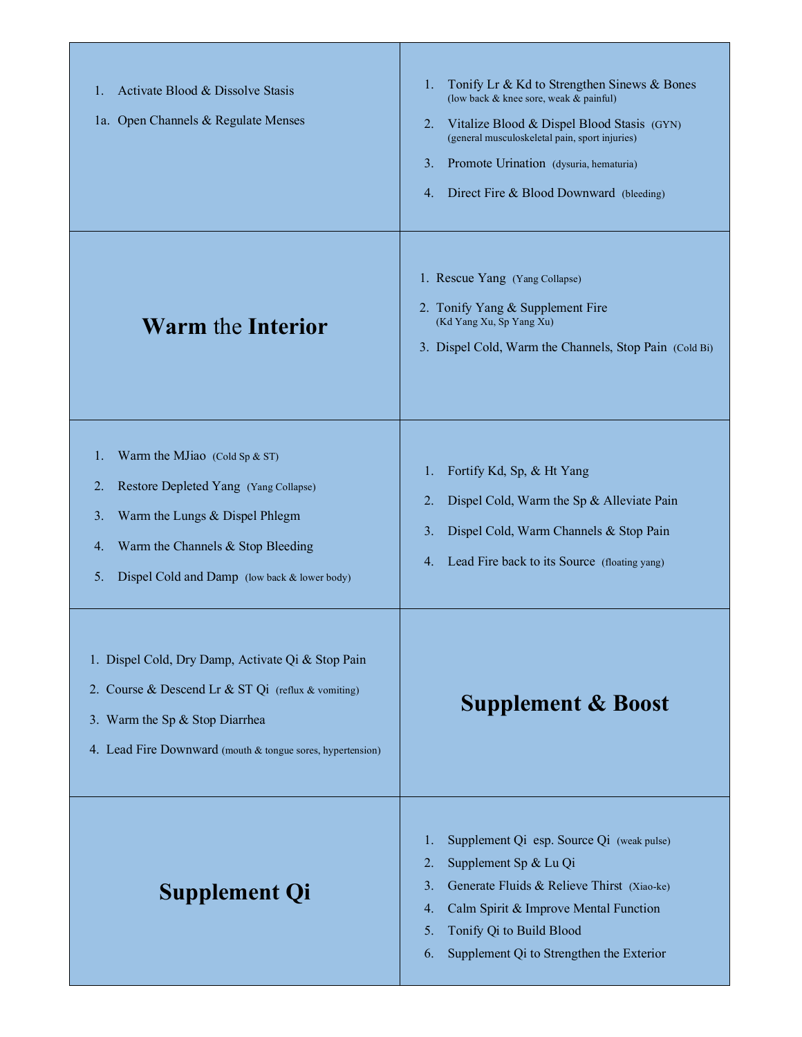| Activate Blood & Dissolve Stasis<br>1.<br>1a. Open Channels & Regulate Menses                                                                                                                                                                | Tonify Lr & Kd to Strengthen Sinews & Bones<br>1.<br>(low back & knee sore, weak & painful)<br>2.<br>Vitalize Blood & Dispel Blood Stasis (GYN)<br>(general musculoskeletal pain, sport injuries)<br>3.<br>Promote Urination (dysuria, hematuria)<br>Direct Fire & Blood Downward (bleeding)<br>4. |
|----------------------------------------------------------------------------------------------------------------------------------------------------------------------------------------------------------------------------------------------|----------------------------------------------------------------------------------------------------------------------------------------------------------------------------------------------------------------------------------------------------------------------------------------------------|
| <b>Warm the Interior</b>                                                                                                                                                                                                                     | 1. Rescue Yang (Yang Collapse)<br>2. Tonify Yang & Supplement Fire<br>(Kd Yang Xu, Sp Yang Xu)<br>3. Dispel Cold, Warm the Channels, Stop Pain (Cold Bi)                                                                                                                                           |
| Warm the MJiao (Cold Sp & ST)<br>1.<br>Restore Depleted Yang (Yang Collapse)<br>$2_{-}$<br>Warm the Lungs & Dispel Phlegm<br>3 <sub>1</sub><br>Warm the Channels & Stop Bleeding<br>4.<br>Dispel Cold and Damp (low back & lower body)<br>5. | Fortify Kd, Sp, & Ht Yang<br>1.<br>2.<br>Dispel Cold, Warm the Sp & Alleviate Pain<br>3.<br>Dispel Cold, Warm Channels & Stop Pain<br>Lead Fire back to its Source (floating yang)<br>4.                                                                                                           |
| 1. Dispel Cold, Dry Damp, Activate Qi & Stop Pain<br>2. Course & Descend Lr & ST Qi (reflux & vomiting)<br>3. Warm the Sp $&$ Stop Diarrhea<br>4. Lead Fire Downward (mouth & tongue sores, hypertension)                                    | <b>Supplement &amp; Boost</b>                                                                                                                                                                                                                                                                      |
| <b>Supplement Qi</b>                                                                                                                                                                                                                         | Supplement Qi esp. Source Qi (weak pulse)<br>1.<br>Supplement Sp & Lu Qi<br>2.<br>Generate Fluids & Relieve Thirst (Xiao-ke)<br>3 <sub>1</sub><br>Calm Spirit & Improve Mental Function<br>4.<br>Tonify Qi to Build Blood<br>5.<br>Supplement Qi to Strengthen the Exterior<br>6.                  |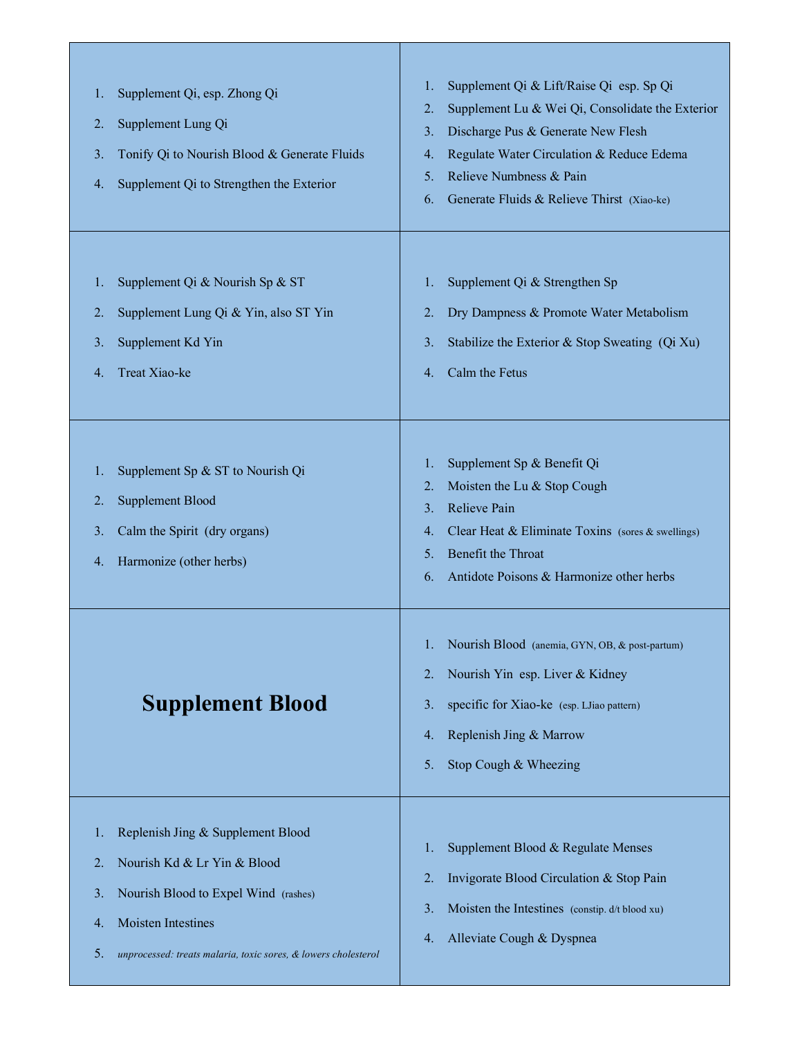| Supplement Qi, esp. Zhong Qi<br>1.<br>Supplement Lung Qi<br>2.<br>Tonify Qi to Nourish Blood & Generate Fluids<br>3.<br>Supplement Qi to Strengthen the Exterior<br>4.                                                                | Supplement Qi & Lift/Raise Qi esp. Sp Qi<br>1.<br>Supplement Lu & Wei Qi, Consolidate the Exterior<br>2.<br>3.<br>Discharge Pus & Generate New Flesh<br>Regulate Water Circulation & Reduce Edema<br>4.<br>Relieve Numbness & Pain<br>5.<br>Generate Fluids & Relieve Thirst (Xiao-ke)<br>6. |
|---------------------------------------------------------------------------------------------------------------------------------------------------------------------------------------------------------------------------------------|----------------------------------------------------------------------------------------------------------------------------------------------------------------------------------------------------------------------------------------------------------------------------------------------|
| Supplement Qi & Nourish Sp & ST<br>1.<br>Supplement Lung Qi & Yin, also ST Yin<br>2.<br>Supplement Kd Yin<br>3.<br>Treat Xiao-ke<br>4 <sub>1</sub>                                                                                    | Supplement Qi & Strengthen Sp<br>1.<br>2.<br>Dry Dampness & Promote Water Metabolism<br>3.<br>Stabilize the Exterior & Stop Sweating (Qi Xu)<br>Calm the Fetus<br>$\overline{4}$ .                                                                                                           |
| Supplement Sp & ST to Nourish Qi<br>1.<br><b>Supplement Blood</b><br>2.<br>Calm the Spirit (dry organs)<br>3.<br>Harmonize (other herbs)<br>4.                                                                                        | Supplement Sp & Benefit Qi<br>1.<br>2.<br>Moisten the Lu & Stop Cough<br>Relieve Pain<br>3.<br>Clear Heat & Eliminate Toxins (sores $\&$ swellings)<br>4.<br>Benefit the Throat<br>5.<br>Antidote Poisons & Harmonize other herbs<br>6.                                                      |
| <b>Supplement Blood</b>                                                                                                                                                                                                               | Nourish Blood (anemia, GYN, OB, & post-partum)<br>1.<br>Nourish Yin esp. Liver & Kidney<br>2.<br>3.<br>specific for Xiao-ke (esp. LJiao pattern)<br>Replenish Jing & Marrow<br>4.<br>Stop Cough & Wheezing<br>5 <sub>1</sub>                                                                 |
| Replenish Jing & Supplement Blood<br>1.<br>Nourish Kd & Lr Yin & Blood<br>2.<br>Nourish Blood to Expel Wind (rashes)<br>3.<br><b>Moisten Intestines</b><br>4.<br>5.<br>unprocessed: treats malaria, toxic sores, & lowers cholesterol | Supplement Blood & Regulate Menses<br>1.<br>2.<br>Invigorate Blood Circulation & Stop Pain<br>3.<br>Moisten the Intestines (constip. d/t blood xu)<br>Alleviate Cough & Dyspnea<br>4.                                                                                                        |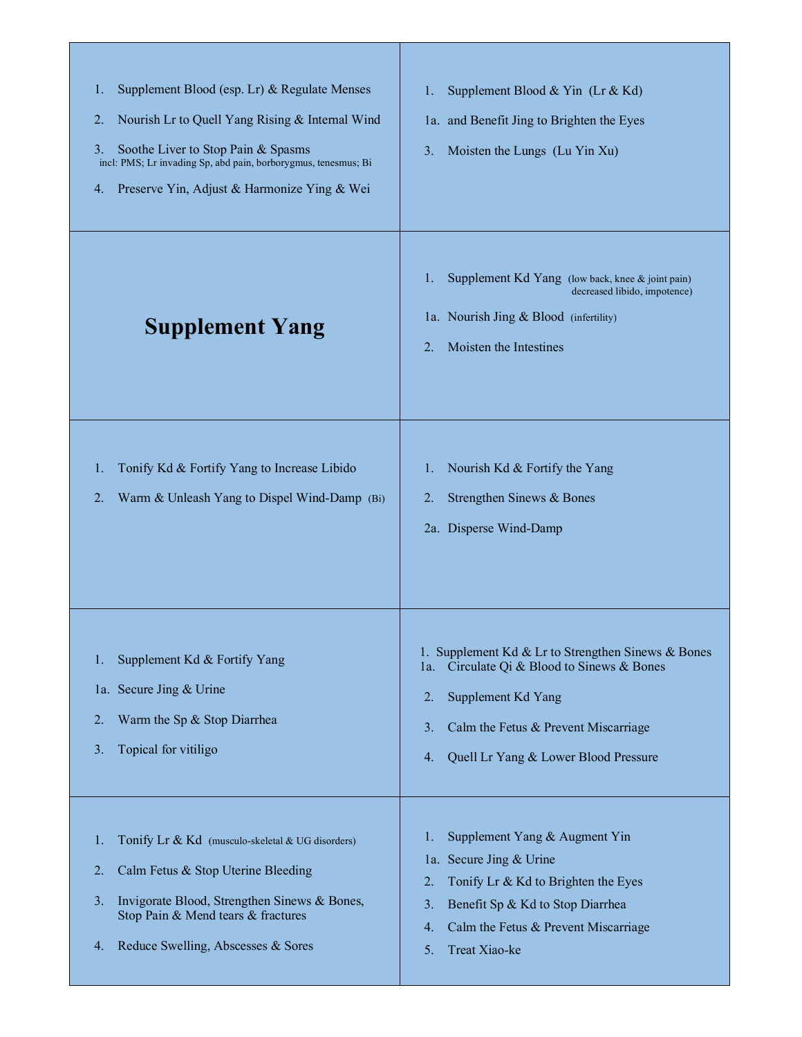| Supplement Blood (esp. Lr) & Regulate Menses<br>1.<br>Nourish Lr to Quell Yang Rising & Internal Wind<br>2.<br>Soothe Liver to Stop Pain & Spasms<br>3.<br>incl: PMS; Lr invading Sp, abd pain, borborygmus, tenesmus; Bi<br>Preserve Yin, Adjust & Harmonize Ying & Wei<br>4. | Supplement Blood & Yin (Lr & Kd)<br>1.<br>1a. and Benefit Jing to Brighten the Eyes<br>3.<br>Moisten the Lungs (Lu Yin Xu)                                                                                                  |
|--------------------------------------------------------------------------------------------------------------------------------------------------------------------------------------------------------------------------------------------------------------------------------|-----------------------------------------------------------------------------------------------------------------------------------------------------------------------------------------------------------------------------|
| <b>Supplement Yang</b>                                                                                                                                                                                                                                                         | 1.<br>Supplement Kd Yang (low back, knee & joint pain)<br>decreased libido, impotence)<br>1a. Nourish Jing & Blood (infertility)<br>Moisten the Intestines<br>2.                                                            |
| Tonify Kd & Fortify Yang to Increase Libido<br>1.<br>Warm & Unleash Yang to Dispel Wind-Damp (Bi)<br>2.                                                                                                                                                                        | Nourish Kd & Fortify the Yang<br>1.<br>Strengthen Sinews & Bones<br>2.<br>2a. Disperse Wind-Damp                                                                                                                            |
| Supplement Kd & Fortify Yang<br>1.<br>1a. Secure Jing & Urine<br>Warm the Sp & Stop Diarrhea<br>2.<br>Topical for vitiligo<br>3.                                                                                                                                               | 1. Supplement Kd & Lr to Strengthen Sinews & Bones<br>Circulate Qi & Blood to Sinews & Bones<br>la.<br>2.<br>Supplement Kd Yang<br>Calm the Fetus & Prevent Miscarriage<br>3.<br>Quell Lr Yang & Lower Blood Pressure<br>4. |
| Tonify Lr & Kd (musculo-skeletal & UG disorders)<br>1.<br>Calm Fetus & Stop Uterine Bleeding<br>2.<br>Invigorate Blood, Strengthen Sinews & Bones,<br>3.<br>Stop Pain & Mend tears & fractures<br>Reduce Swelling, Abscesses & Sores<br>4.                                     | Supplement Yang & Augment Yin<br>1.<br>1a. Secure Jing & Urine<br>2.<br>Tonify Lr & Kd to Brighten the Eyes<br>Benefit Sp & Kd to Stop Diarrhea<br>3.<br>Calm the Fetus & Prevent Miscarriage<br>4.<br>Treat Xiao-ke<br>5.  |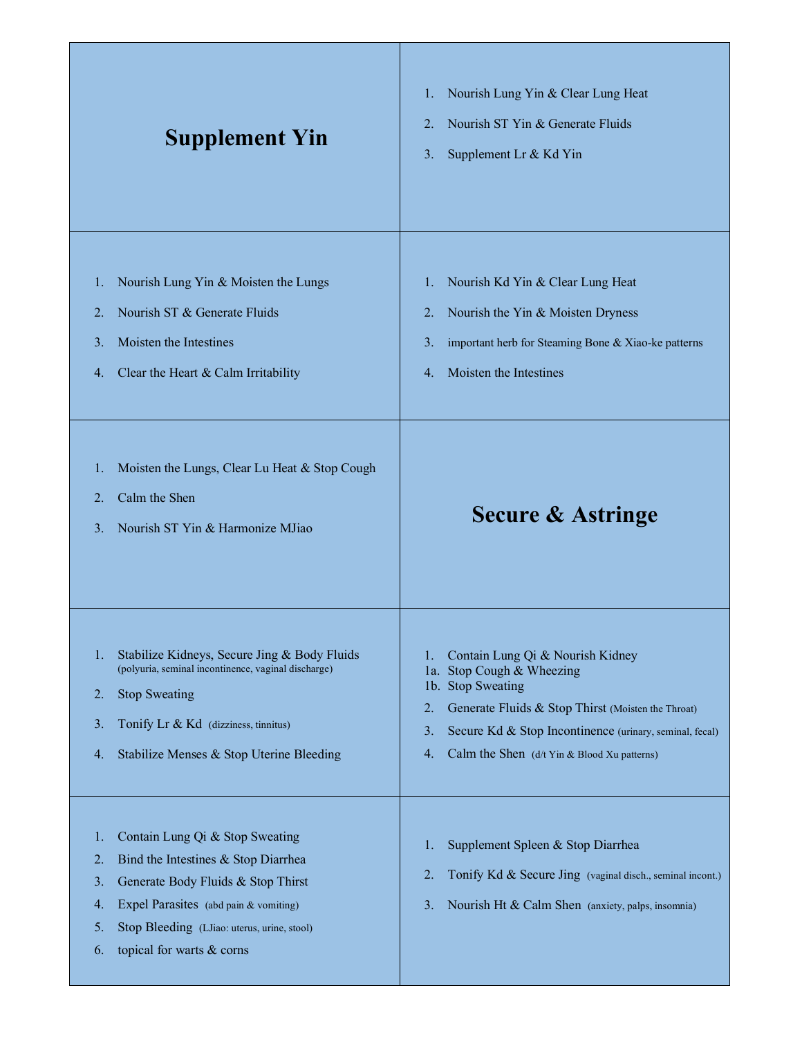| <b>Supplement Yin</b>                                                                                                                                                                                                                                                 | Nourish Lung Yin & Clear Lung Heat<br>1.<br>Nourish ST Yin & Generate Fluids<br>2.<br>3.<br>Supplement Lr & Kd Yin                                                                                                                                                                                             |
|-----------------------------------------------------------------------------------------------------------------------------------------------------------------------------------------------------------------------------------------------------------------------|----------------------------------------------------------------------------------------------------------------------------------------------------------------------------------------------------------------------------------------------------------------------------------------------------------------|
| Nourish Lung Yin & Moisten the Lungs<br>1.<br>Nourish ST & Generate Fluids<br>$\overline{2}$ .<br>Moisten the Intestines<br>$3_{-}$<br>Clear the Heart & Calm Irritability<br>4.                                                                                      | Nourish Kd Yin & Clear Lung Heat<br>1.<br>2.<br>Nourish the Yin & Moisten Dryness<br>3.<br>important herb for Steaming Bone & Xiao-ke patterns<br>Moisten the Intestines<br>4.                                                                                                                                 |
| Moisten the Lungs, Clear Lu Heat & Stop Cough<br>1.<br>Calm the Shen<br>2.<br>Nourish ST Yin & Harmonize MJiao<br>$3_{-}$                                                                                                                                             | <b>Secure &amp; Astringe</b>                                                                                                                                                                                                                                                                                   |
| Stabilize Kidneys, Secure Jing & Body Fluids<br>1.<br>(polyuria, seminal incontinence, vaginal discharge)<br><b>Stop Sweating</b><br>2.<br>3.<br>Tonify Lr & Kd (dizziness, tinnitus)<br>Stabilize Menses & Stop Uterine Bleeding<br>4.                               | Contain Lung Qi & Nourish Kidney<br>1.<br>Stop Cough & Wheezing<br>1a.<br><b>Stop Sweating</b><br>$1b$ .<br>2.<br>Generate Fluids & Stop Thirst (Moisten the Throat)<br>3.<br>Secure Kd & Stop Incontinence (urinary, seminal, fecal)<br>4.<br>Calm the Shen $(d/t \text{ Yin } \& \text{ Blood Xu patterns})$ |
| Contain Lung Qi & Stop Sweating<br>1.<br>2.<br>Bind the Intestines & Stop Diarrhea<br>3.<br>Generate Body Fluids & Stop Thirst<br>Expel Parasites (abd pain & vomiting)<br>4.<br>5.<br>Stop Bleeding (LJiao: uterus, urine, stool)<br>topical for warts & corns<br>6. | Supplement Spleen & Stop Diarrhea<br>1.<br>2.<br>Tonify Kd & Secure Jing (vaginal disch., seminal incont.)<br>3.<br>Nourish Ht & Calm Shen (anxiety, palps, insomnia)                                                                                                                                          |

Т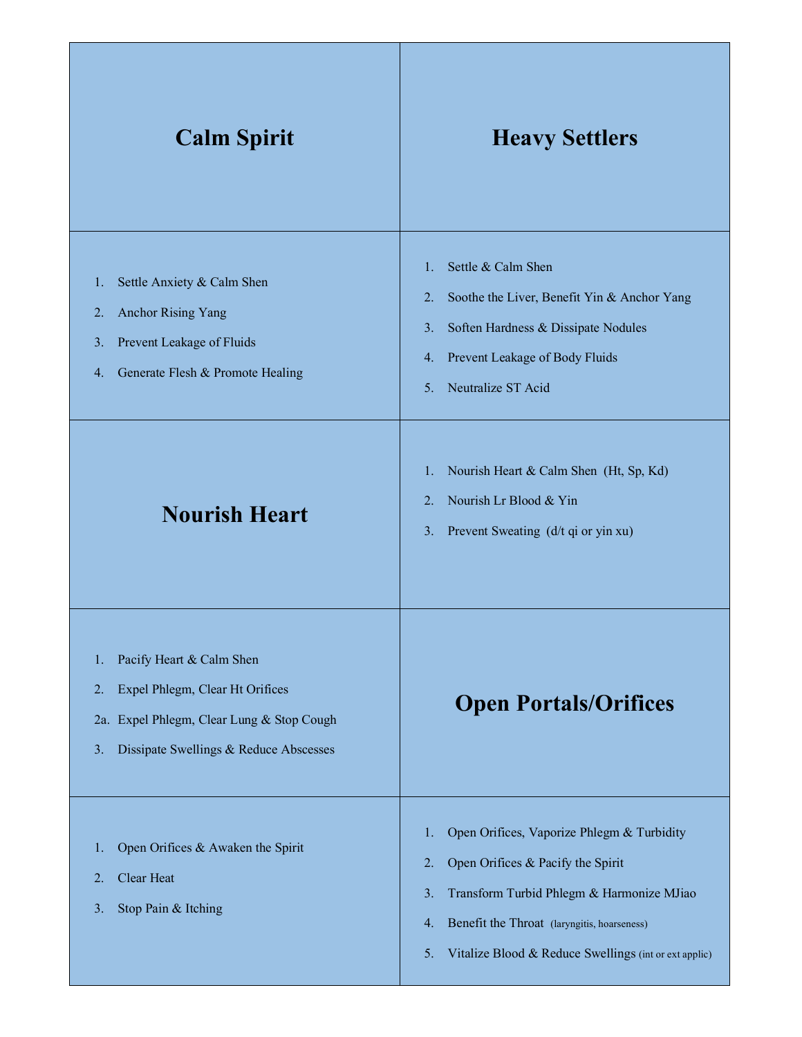| <b>Calm Spirit</b>                                                                                                                                                   | <b>Heavy Settlers</b>                                                                                                                                                                                                                                              |
|----------------------------------------------------------------------------------------------------------------------------------------------------------------------|--------------------------------------------------------------------------------------------------------------------------------------------------------------------------------------------------------------------------------------------------------------------|
| Settle Anxiety & Calm Shen<br>1.<br><b>Anchor Rising Yang</b><br>2.<br>Prevent Leakage of Fluids<br>3.<br>Generate Flesh & Promote Healing<br>4.                     | Settle & Calm Shen<br>1.<br>Soothe the Liver, Benefit Yin & Anchor Yang<br>2.<br>Soften Hardness & Dissipate Nodules<br>3.<br>Prevent Leakage of Body Fluids<br>4.<br>Neutralize ST Acid<br>5.                                                                     |
| <b>Nourish Heart</b>                                                                                                                                                 | Nourish Heart & Calm Shen (Ht, Sp, Kd)<br>1.<br>Nourish Lr Blood & Yin<br>$\overline{2}$ .<br>Prevent Sweating (d/t qi or yin xu)<br>3.                                                                                                                            |
| Pacify Heart & Calm Shen<br>1.<br>Expel Phlegm, Clear Ht Orifices<br>2.<br>2a. Expel Phlegm, Clear Lung & Stop Cough<br>Dissipate Swellings & Reduce Abscesses<br>3. | <b>Open Portals/Orifices</b>                                                                                                                                                                                                                                       |
| Open Orifices & Awaken the Spirit<br>1.<br>Clear Heat<br>$\overline{2}$ .<br>Stop Pain & Itching<br>3 <sub>1</sub>                                                   | Open Orifices, Vaporize Phlegm & Turbidity<br>1.<br>Open Orifices & Pacify the Spirit<br>2.<br>Transform Turbid Phlegm & Harmonize MJiao<br>3.<br>Benefit the Throat (laryngitis, hoarseness)<br>4.<br>Vitalize Blood & Reduce Swellings (int or ext applic)<br>5. |